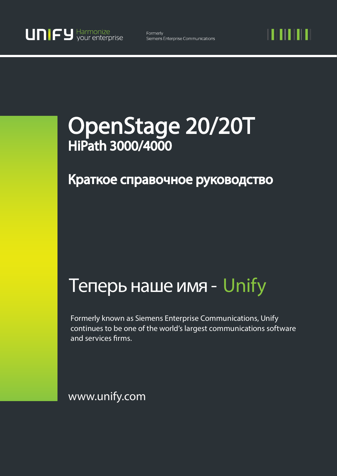11 I II I II

# OpenStage 20/20T HiPath 3000/4000

## Краткое справочное руководство

## Теперь наше имя - Unify

Formerly known as Siemens Enterprise Communications, Unify continues to be one of the world's largest communications software and services firms.

www.unify.com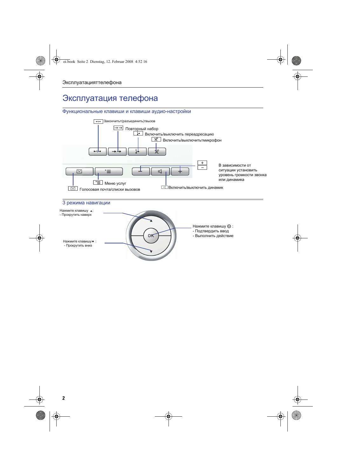## Эксплуатация телефона

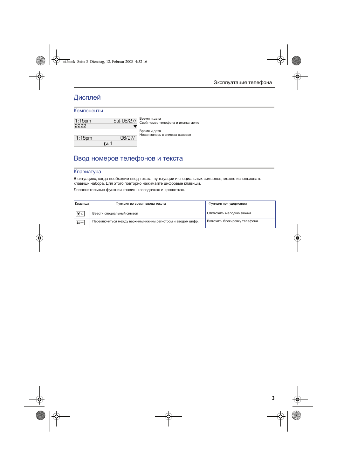## Дисплей

#### Компоненты

| $1:15$ pm |         | Sat 06/27/    | Время и дата<br>Свой номер т |  |
|-----------|---------|---------------|------------------------------|--|
| ככככ      |         |               | Время и дата                 |  |
|           |         |               | Новая запись                 |  |
| $1:15$ pm |         | $\frac{1}{6}$ |                              |  |
|           | $t = 1$ |               |                              |  |

елефона и иконка меню в списках вызовов

## Ввод номеров телефонов и текста

#### Клавиатура

В ситуациях, когда необходим ввод текста, пунктуации и специальных символов, можно использовать клавиши набора. Для этого повторно нажимайте цифровые клавиши.

Дополнительные функции клавиш «звездочка» и «решетка».

| I КлавишаI          | Функция во время ввода текста                               | Функция при удержании         |
|---------------------|-------------------------------------------------------------|-------------------------------|
| ∣* ∆                | Ввести специальный символ                                   | Отключить мелодию звонка.     |
| $\sqrt{1+\epsilon}$ | Переключиться между верхним/нижним регистром и вводом цифр. | Включить блокировку телефона. |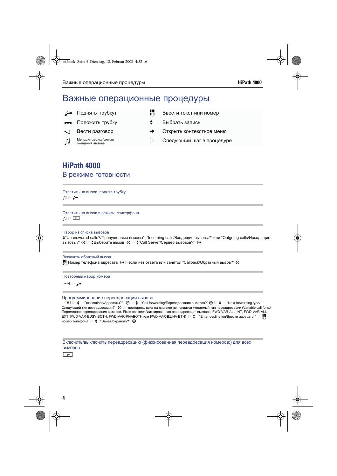## Важные операционные процедуры

- 
- 
- 
- Мелодия звонка/сигнал<br>Ожидания вызова
- **Поднять трубкут јавести текст или номер j вести текст** или номер
	- Положить трубку **f фионерать** запись
	- Вести разговор федеральное федеральное меню
		- $\triangleright$  Следующий шаг в процедуре

### **HiPath 4000** В режиме готовности

Ответить на вызов, подняв трубку  $\Box \triangleright$ 

Ответить на вызов в режиме спикерфона  $\Box$ 

Набор из списка вызовов

f"Unanswered calls?/Пропущенные вызовы", "Incoming calls/Входящие вызовы?" или "Outgoing calls/Исходящие вызовы?"  $\circledR$   $\triangleright$   $\clubsuit$ Выберите вызов  $\circledR$   $\triangleright$   $\clubsuit$ "Call Server/Сервер вызовов?"  $\circledR$ 

Включить обратный вызов  $\blacksquare$  Номер телефона адресата  $\heartsuit$  > если нет ответа или занятол "Callback/Обратный вызов?"  $\heartsuit$ 

Повторный набор номера

 $\Rightarrow$ 

Программирование переадресации вызова

 $\Box \equiv \Box \triangleright \blacklozenge$  "Destinations/Адресаты?"  $\circledcirc \triangleright \blacklozenge$  "Call forwarding/Переадресация вызовов?"  $\circledcirc \triangleright \blacklozenge$  "Next forwarding type/ Следующий тип переадресации?"  $\circledast\vartriangleright\;$  повторять, пока на дисплее не появится желаемый тип переадресации (Variable call forw./ Переменная переадресация вызовов, Fixed call forw./Фиксированная переадресация вызовов, FWD-VAR-ALL-INT, FWD-VAR-ALL- $EXT$ , FWD-VAR-BUSY-BOTH, FWD-VAR-RNABOTH или FWD-VAR-BZ/NA-BTH)  $\triangleright$   $\blacklozenge$  "Enter destination/Ввести адресата:"  $\triangleright$   $\blacksquare$ номер телефона  $\triangleright$   $\spadesuit$  "Save/Сохранить?"  $\spadesuit$ 

Включить/выключить переадресацию (фиксированная переадресация номеров:) для всех вызовов

**r**ب∏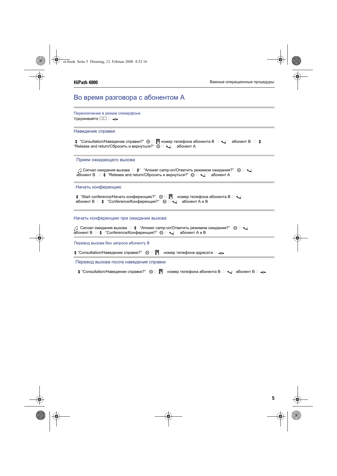#### Во время разговора с абонентом А

Переключение в режим спикерфона Удерживайте **I** 

#### Наведение справки

 $\div$  "Consultation/Наведение справки?"  $\circledcirc$   $\triangleright$   $\mathbb{N}$  номер телефона абонента В  $\triangleright$   $\cdot$   $\cdot$  абонент В  $\triangleright$   $\div$ "Release and return/Сбросить и вернуться?"  $\overset{\sim}{\otimes}$   $\triangleright$   $\underset{\sim}{\smile}$  абонент А

#### Прием ожидающего вызова

 $\Box$  Сигнал ожидания вызова  $\triangleright\spadesuit$ " "Answer camp-on/Ответить режимом ожидания?"  $\circledast\triangleright\spadesuit$ абонент B  $\;\triangleright\, \clubsuit\,$  "Release and return/Сбросить и вернуться?"  $\;\circledS\,\triangleright\, \searrow\,$  абонент А

#### Начать конференцию

| $\div$ "Start conference/Начать конференцию?" $\otimes$ $\triangleright$ $\mathbb{F}$ номер телефона абонента В $\triangleright$ $\mathbb{Q}$ |  |  |  |
|-----------------------------------------------------------------------------------------------------------------------------------------------|--|--|--|
| абонент В $\triangleright$ $\blacklozenge$ "Conference/Конференция?" $\otimes \triangleright \blacktriangleleft$ абонент А и В                |  |  |  |

#### Начать конференцию при ожидании вызова

| $\cap$ ] Сигнал ожидания вызова $\triangleright\blacklozenge$ "Answer camp-on/Ответить режимом ожидания?" $\circledast\triangleright\blacklozenge$ |  |
|----------------------------------------------------------------------------------------------------------------------------------------------------|--|
| абонент В $\triangleright$ $\blacklozenge$ "Conference/Конференция?" ) $\heartsuit \triangleright \searrow$ абонент А и В                          |  |

Перевод вызова без запроса абоненту В

 $\div$  "Consultation/Наведение справки?"  $\circledcirc$   $\triangleright$   $\mathbb{H}$  номер телефона адресата  $\triangleright$   $\rightarrow$ 

Перевод вызова после наведения справки

 $\clubsuit$  "Consultation/Наведение справки?"  $\circledcirc$   $\triangleright$   $\blacksquare$  номер телефона абонента В  $\triangleright$   $\searrow$  абонент В  $\triangleright$   $\clubsuit$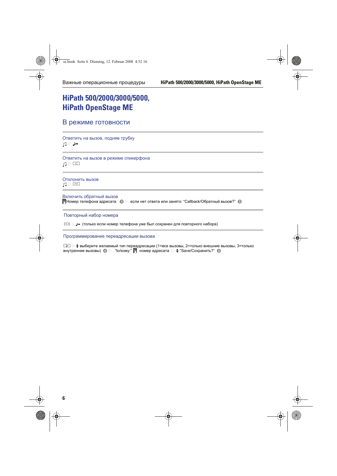## **HiPath 500/2000/3000/5000, HiPath OpenStage ME**

#### В режиме готовности

Ответить на вызов, подняв трубку  $\Box$ 

Ответить на вызов в режиме спикерфона  $\Box$ 

Отклонить вызов  $\Box$ 

Включить обратный вызов  $\mathbb H$ Номер телефона адресата  $\ \circledast\ \triangleright\ \mathsf{ec}$ ли нет ответа или занято: "Callback/Обратный вызов?"  $\circledast$ 

Повторный набор номера

 $\overline{P}$  (только если номер телефона уже был сохранен для повторного набора)

Программирование переадресации вызова

 $\boxed{\cdot}$  = выберите желаемый тип переадресации (1=все вызовы, 2=только внешние вызовы, 3=только внутренние вызовы)  $\circledast$   $\triangleright$  "to/кому:"  $\blacksquare$  номер адресата  $\triangleright \blacklozenge$  "Save/Сохранить?"  $\circledast$